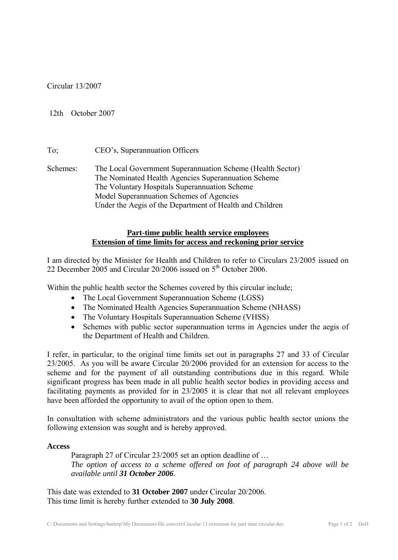Circular 13/2007

### 12th October 2007

# To; CEO's, Superannuation Officers

Schemes: The Local Government Superannuation Scheme (Health Sector) The Nominated Health Agencies Superannuation Scheme The Voluntary Hospitals Superannuation Scheme Model Superannuation Schemes of Agencies Under the Aegis of the Department of Health and Children

# **Part-time public health service employees Extension of time limits for access and reckoning prior service**

I am directed by the Minister for Health and Children to refer to Circulars 23/2005 issued on 22 December 2005 and Circular  $20/2006$  issued on  $5<sup>th</sup>$  October 2006.

Within the public health sector the Schemes covered by this circular include;

- The Local Government Superannuation Scheme (LGSS)
- The Nominated Health Agencies Superannuation Scheme (NHASS)
- The Voluntary Hospitals Superannuation Scheme (VHSS)
- Schemes with public sector superannuation terms in Agencies under the aegis of the Department of Health and Children.

I refer, in particular, to the original time limits set out in paragraphs 27 and 33 of Circular 23/2005. As you will be aware Circular 20/2006 provided for an extension for access to the scheme and for the payment of all outstanding contributions due in this regard. While significant progress has been made in all public health sector bodies in providing access and facilitating payments as provided for in 23/2005 it is clear that not all relevant employees have been afforded the opportunity to avail of the option open to them.

In consultation with scheme administrators and the various public health sector unions the following extension was sought and is hereby approved.

#### **Access**

Paragraph 27 of Circular 23/2005 set an option deadline of … *The option of access to a scheme offered on foot of paragraph 24 above will be available until 31 October 2006*.

This date was extended to **31 October 2007** under Circular 20/2006. This time limit is hereby further extended to **30 July 2008**.